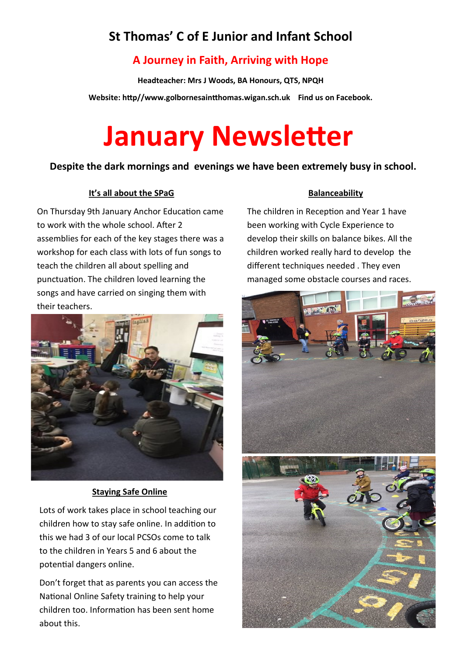# **St Thomas' C of E Junior and Infant School**

## **A Journey in Faith, Arriving with Hope**

**Headteacher: Mrs J Woods, BA Honours, QTS, NPQH**

**Website: http//www.golbornesaintthomas.wigan.sch.uk Find us on Facebook.** 

# **January Newsletter**

#### **Despite the dark mornings and evenings we have been extremely busy in school.**

#### **It's all about the SPaG**

On Thursday 9th January Anchor Education came to work with the whole school. After 2 assemblies for each of the key stages there was a workshop for each class with lots of fun songs to teach the children all about spelling and punctuation. The children loved learning the songs and have carried on singing them with their teachers.



#### **Staying Safe Online**

Lots of work takes place in school teaching our children how to stay safe online. In addition to this we had 3 of our local PCSOs come to talk to the children in Years 5 and 6 about the potential dangers online.

Don't forget that as parents you can access the National Online Safety training to help your children too. Information has been sent home about this.

#### **Balanceability**

The children in Reception and Year 1 have been working with Cycle Experience to develop their skills on balance bikes. All the children worked really hard to develop the different techniques needed . They even managed some obstacle courses and races.